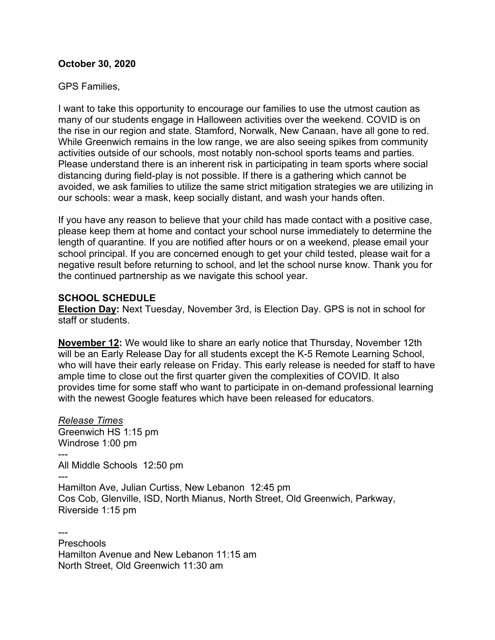### **October 30, 2020**

### GPS Families,

I want to take this opportunity to encourage our families to use the utmost caution as many of our students engage in Halloween activities over the weekend. COVID is on the rise in our region and state. Stamford, Norwalk, New Canaan, have all gone to red. While Greenwich remains in the low range, we are also seeing spikes from community activities outside of our schools, most notably non-school sports teams and parties. Please understand there is an inherent risk in participating in team sports where social distancing during field-play is not possible. If there is a gathering which cannot be avoided, we ask families to utilize the same strict mitigation strategies we are utilizing in our schools: wear a mask, keep socially distant, and wash your hands often.

If you have any reason to believe that your child has made contact with a positive case, please keep them at home and contact your school nurse immediately to determine the length of quarantine. If you are notified after hours or on a weekend, please email your school principal. If you are concerned enough to get your child tested, please wait for a negative result before returning to school, and let the school nurse know. Thank you for the continued partnership as we navigate this school year.

### **SCHOOL SCHEDULE**

**Election Day:** Next Tuesday, November 3rd, is Election Day. GPS is not in school for staff or students.

**November 12:** We would like to share an early notice that Thursday, November 12th will be an Early Release Day for all students except the K-5 Remote Learning School, who will have their early release on Friday. This early release is needed for staff to have ample time to close out the first quarter given the complexities of COVID. It also provides time for some staff who want to participate in on-demand professional learning with the newest Google features which have been released for educators.

*Release Times* Greenwich HS 1:15 pm Windrose 1:00 pm --- All Middle Schools 12:50 pm --- Hamilton Ave, Julian Curtiss, New Lebanon 12:45 pm Cos Cob, Glenville, ISD, North Mianus, North Street, Old Greenwich, Parkway, Riverside 1:15 pm

--- **Preschools** Hamilton Avenue and New Lebanon 11:15 am North Street, Old Greenwich 11:30 am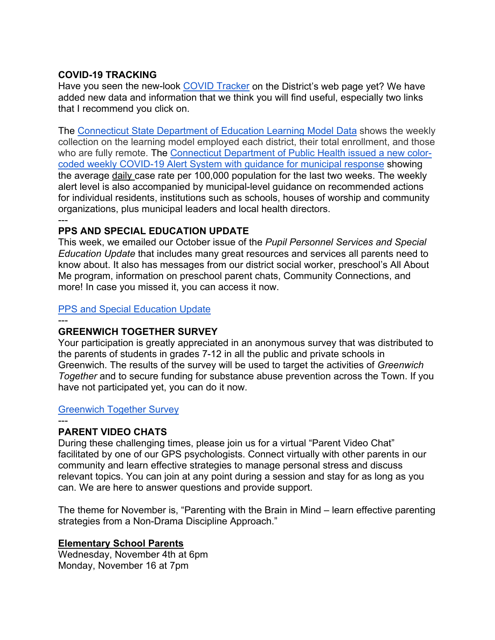## **COVID-19 TRACKING**

Have you seen the new-look [COVID Tracker](https://www.greenwichschools.org/teaching-learning/student-support-services/health-services/covid-19) on the District's web page yet? We have added new data and information that we think you will find useful, especially two links that I recommend you click on.

The [Connecticut State Department of Education Learning Model Data](http://edsight.ct.gov/relatedreports/Supporting%20Student%20Participation%20in%202020-21.html) shows the weekly collection on the learning model employed each district, their total enrollment, and those who are fully remote. The [Connecticut Department of Public Health issued a new color](https://portal.ct.gov/DPH/Press-Room/Press-Releases---2020/DPH-Issues-New-Weekly-COVID-19-Alert-System-with-Guidance-for-Municipal-Response)[coded weekly COVID-19 Alert System with guidance for municipal response](https://portal.ct.gov/DPH/Press-Room/Press-Releases---2020/DPH-Issues-New-Weekly-COVID-19-Alert-System-with-Guidance-for-Municipal-Response) showing the average daily case rate per 100,000 population for the last two weeks. The weekly alert level is also accompanied by municipal-level guidance on recommended actions for individual residents, institutions such as schools, houses of worship and community organizations, plus municipal leaders and local health directors. ---

### **PPS AND SPECIAL EDUCATION UPDATE**

This week, we emailed our October issue of the *Pupil Personnel Services and Special Education Update* that includes many great resources and services all parents need to know about. It also has messages from our district social worker, preschool's All About Me program, information on preschool parent chats, Community Connections, and more! In case you missed it, you can access it now.

### [PPS and Special Education Update](https://www.greenwichschools.org/fs/resource-manager/view/a5e0328e-0895-4cb1-899f-bc188426e291)

---

### **GREENWICH TOGETHER SURVEY**

Your participation is greatly appreciated in an anonymous survey that was distributed to the parents of students in grades 7-12 in all the public and private schools in Greenwich. The results of the survey will be used to target the activities of *Greenwich Together* and to secure funding for substance abuse prevention across the Town. If you have not participated yet, you can do it now.

### [Greenwich Together Survey](https://www.surveymonkey.com/r/3BLFQHL)

#### ---

## **PARENT VIDEO CHATS**

During these challenging times, please join us for a virtual "Parent Video Chat" facilitated by one of our GPS psychologists. Connect virtually with other parents in our community and learn effective strategies to manage personal stress and discuss relevant topics. You can join at any point during a session and stay for as long as you can. We are here to answer questions and provide support.

The theme for November is, "Parenting with the Brain in Mind – learn effective parenting strategies from a Non-Drama Discipline Approach."

### **Elementary School Parents**

Wednesday, November 4th at 6pm Monday, November 16 at 7pm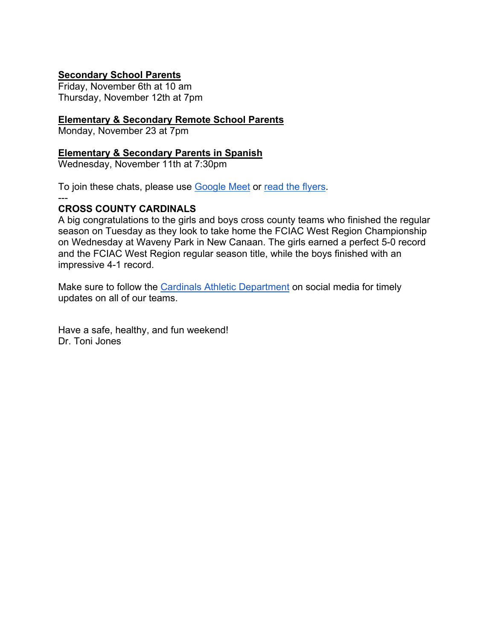## **Secondary School Parents**

Friday, November 6th at 10 am Thursday, November 12th at 7pm

### **Elementary & Secondary Remote School Parents**

Monday, November 23 at 7pm

#### **Elementary & Secondary Parents in Spanish**

Wednesday, November 11th at 7:30pm

To join these chats, please use [Google Meet](http://meet.google.com/rgq-yjrv-kzg) or [read the flyers.](https://www.greenwichschools.org/fs/resource-manager/view/22a701d9-6e44-44f6-9bd4-307fbb971132)

### **CROSS COUNTY CARDINALS**

 $---$ 

A big congratulations to the girls and boys cross county teams who finished the regular season on Tuesday as they look to take home the FCIAC West Region Championship on Wednesday at Waveny Park in New Canaan. The girls earned a perfect 5-0 record and the FCIAC West Region regular season title, while the boys finished with an impressive 4-1 record.

Make sure to follow the [Cardinals Athletic Department](https://twitter.com/GHS_GoBigRed) on social media for timely updates on all of our teams.

Have a safe, healthy, and fun weekend! Dr. Toni Jones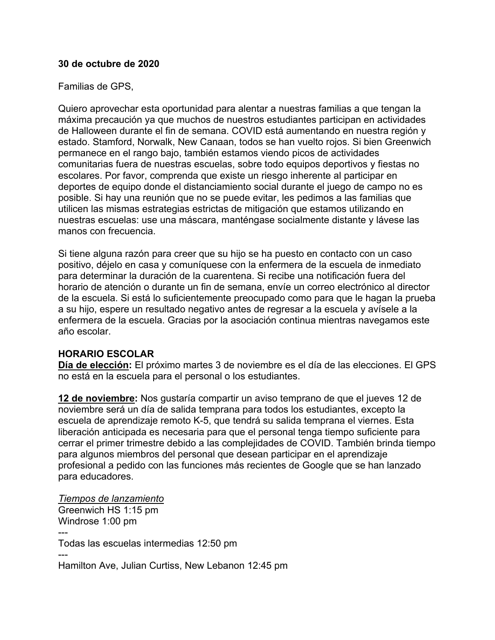#### **30 de octubre de 2020**

#### Familias de GPS,

Quiero aprovechar esta oportunidad para alentar a nuestras familias a que tengan la máxima precaución ya que muchos de nuestros estudiantes participan en actividades de Halloween durante el fin de semana. COVID está aumentando en nuestra región y estado. Stamford, Norwalk, New Canaan, todos se han vuelto rojos. Si bien Greenwich permanece en el rango bajo, también estamos viendo picos de actividades comunitarias fuera de nuestras escuelas, sobre todo equipos deportivos y fiestas no escolares. Por favor, comprenda que existe un riesgo inherente al participar en deportes de equipo donde el distanciamiento social durante el juego de campo no es posible. Si hay una reunión que no se puede evitar, les pedimos a las familias que utilicen las mismas estrategias estrictas de mitigación que estamos utilizando en nuestras escuelas: use una máscara, manténgase socialmente distante y lávese las manos con frecuencia.

Si tiene alguna razón para creer que su hijo se ha puesto en contacto con un caso positivo, déjelo en casa y comuníquese con la enfermera de la escuela de inmediato para determinar la duración de la cuarentena. Si recibe una notificación fuera del horario de atención o durante un fin de semana, envíe un correo electrónico al director de la escuela. Si está lo suficientemente preocupado como para que le hagan la prueba a su hijo, espere un resultado negativo antes de regresar a la escuela y avísele a la enfermera de la escuela. Gracias por la asociación continua mientras navegamos este año escolar.

### **HORARIO ESCOLAR**

**Día de elección:** El próximo martes 3 de noviembre es el día de las elecciones. El GPS no está en la escuela para el personal o los estudiantes.

**12 de noviembre:** Nos gustaría compartir un aviso temprano de que el jueves 12 de noviembre será un día de salida temprana para todos los estudiantes, excepto la escuela de aprendizaje remoto K-5, que tendrá su salida temprana el viernes. Esta liberación anticipada es necesaria para que el personal tenga tiempo suficiente para cerrar el primer trimestre debido a las complejidades de COVID. También brinda tiempo para algunos miembros del personal que desean participar en el aprendizaje profesional a pedido con las funciones más recientes de Google que se han lanzado para educadores.

*Tiempos de lanzamiento* Greenwich HS 1:15 pm Windrose 1:00 pm --- Todas las escuelas intermedias 12:50 pm --- Hamilton Ave, Julian Curtiss, New Lebanon 12:45 pm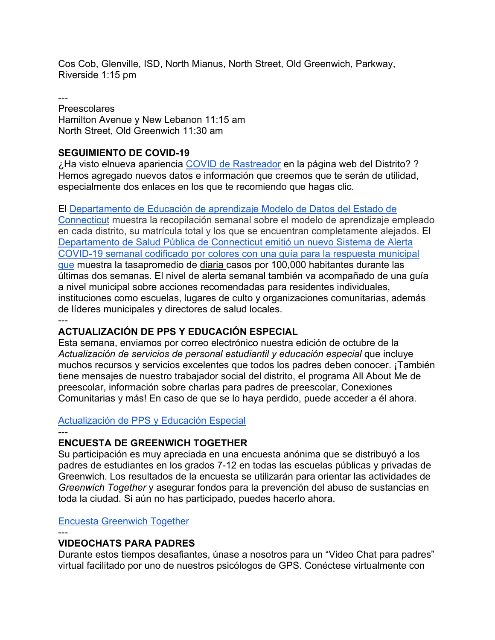Cos Cob, Glenville, ISD, North Mianus, North Street, Old Greenwich, Parkway, Riverside 1:15 pm

---

Preescolares Hamilton Avenue y New Lebanon 11:15 am North Street, Old Greenwich 11:30 am

## **SEGUIMIENTO DE COVID-19**

¿Ha visto elnueva apariencia [COVID de Rastreador](https://www.greenwichschools.org/teaching-learning/student-support-services/health-services/covid-19) en la página web del Distrito? ? Hemos agregado nuevos datos e información que creemos que te serán de utilidad, especialmente dos enlaces en los que te recomiendo que hagas clic.

El [Departamento de Educación de aprendizaje Modelo de Datos del Estado de](http://edsight.ct.gov/relatedreports/Supporting%20Student%20Participation%20in%202020-21.html) 

[Connecticut](http://edsight.ct.gov/relatedreports/Supporting%20Student%20Participation%20in%202020-21.html) muestra la recopilación semanal sobre el modelo de aprendizaje empleado en cada distrito, su matrícula total y los que se encuentran completamente alejados. El [Departamento de Salud Pública de Connecticut emitió un nuevo Sistema de Alerta](https://portal.ct.gov/DPH/Press-Room/Press-Releases---2020/DPH-Issues-New-Weekly-COVID-19-Alert-System-with-Guidance-for-Municipal-Response)  [COVID-19 semanal codificado por colores con una guía para la respuesta municipal](https://portal.ct.gov/DPH/Press-Room/Press-Releases---2020/DPH-Issues-New-Weekly-COVID-19-Alert-System-with-Guidance-for-Municipal-Response)  [que](https://portal.ct.gov/DPH/Press-Room/Press-Releases---2020/DPH-Issues-New-Weekly-COVID-19-Alert-System-with-Guidance-for-Municipal-Response) muestra la tasapromedio de diaria casos por 100,000 habitantes durante las últimas dos semanas. El nivel de alerta semanal también va acompañado de una guía a nivel municipal sobre acciones recomendadas para residentes individuales, instituciones como escuelas, lugares de culto y organizaciones comunitarias, además de líderes municipales y directores de salud locales. ---

## **ACTUALIZACIÓN DE PPS Y EDUCACIÓN ESPECIAL**

Esta semana, enviamos por correo electrónico nuestra edición de octubre de la *Actualización de servicios de personal estudiantil y educación especial* que incluye muchos recursos y servicios excelentes que todos los padres deben conocer. ¡También tiene mensajes de nuestro trabajador social del distrito, el programa All About Me de preescolar, información sobre charlas para padres de preescolar, Conexiones Comunitarias y más! En caso de que se lo haya perdido, puede acceder a él ahora.

## [Actualización de PPS y Educación Especial](https://www.greenwichschools.org/fs/resource-manager/view/a5e0328e-0895-4cb1-899f-bc188426e291)

---

# **ENCUESTA DE GREENWICH TOGETHER**

Su participación es muy apreciada en una encuesta anónima que se distribuyó a los padres de estudiantes en los grados 7-12 en todas las escuelas públicas y privadas de Greenwich. Los resultados de la encuesta se utilizarán para orientar las actividades de *Greenwich Together* y asegurar fondos para la prevención del abuso de sustancias en toda la ciudad. Si aún no has participado, puedes hacerlo ahora.

## [Encuesta Greenwich Together](https://www.surveymonkey.com/r/3BLFQHL)

## ---

## **VIDEOCHATS PARA PADRES**

Durante estos tiempos desafiantes, únase a nosotros para un "Video Chat para padres" virtual facilitado por uno de nuestros psicólogos de GPS. Conéctese virtualmente con